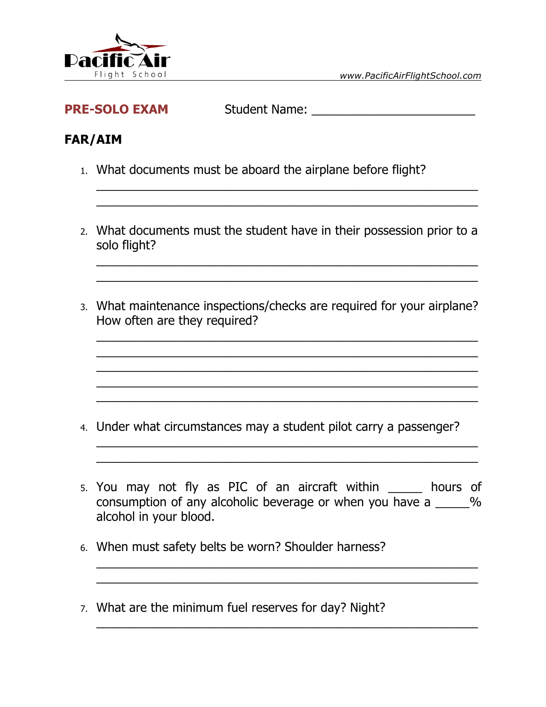

| <b>PRE-SOLO EXAM</b><br><b>Student Name:</b> |  |
|----------------------------------------------|--|
|----------------------------------------------|--|

## **FAR/AIM**

- 1. What documents must be aboard the airplane before flight?
- 2. What documents must the student have in their possession prior to a solo flight?

\_\_\_\_\_\_\_\_\_\_\_\_\_\_\_\_\_\_\_\_\_\_\_\_\_\_\_\_\_\_\_\_\_\_\_\_\_\_\_\_\_\_\_\_\_\_\_\_\_\_\_\_\_\_\_\_ \_\_\_\_\_\_\_\_\_\_\_\_\_\_\_\_\_\_\_\_\_\_\_\_\_\_\_\_\_\_\_\_\_\_\_\_\_\_\_\_\_\_\_\_\_\_\_\_\_\_\_\_\_\_\_\_

\_\_\_\_\_\_\_\_\_\_\_\_\_\_\_\_\_\_\_\_\_\_\_\_\_\_\_\_\_\_\_\_\_\_\_\_\_\_\_\_\_\_\_\_\_\_\_\_\_\_\_\_\_\_\_\_ \_\_\_\_\_\_\_\_\_\_\_\_\_\_\_\_\_\_\_\_\_\_\_\_\_\_\_\_\_\_\_\_\_\_\_\_\_\_\_\_\_\_\_\_\_\_\_\_\_\_\_\_\_\_\_\_

3. What maintenance inspections/checks are required for your airplane? How often are they required?

\_\_\_\_\_\_\_\_\_\_\_\_\_\_\_\_\_\_\_\_\_\_\_\_\_\_\_\_\_\_\_\_\_\_\_\_\_\_\_\_\_\_\_\_\_\_\_\_\_\_\_\_\_\_\_\_ \_\_\_\_\_\_\_\_\_\_\_\_\_\_\_\_\_\_\_\_\_\_\_\_\_\_\_\_\_\_\_\_\_\_\_\_\_\_\_\_\_\_\_\_\_\_\_\_\_\_\_\_\_\_\_\_  $\_$ 

\_\_\_\_\_\_\_\_\_\_\_\_\_\_\_\_\_\_\_\_\_\_\_\_\_\_\_\_\_\_\_\_\_\_\_\_\_\_\_\_\_\_\_\_\_\_\_\_\_\_\_\_\_\_\_\_

\_\_\_\_\_\_\_\_\_\_\_\_\_\_\_\_\_\_\_\_\_\_\_\_\_\_\_\_\_\_\_\_\_\_\_\_\_\_\_\_\_\_\_\_\_\_\_\_\_\_\_\_\_\_\_\_ \_\_\_\_\_\_\_\_\_\_\_\_\_\_\_\_\_\_\_\_\_\_\_\_\_\_\_\_\_\_\_\_\_\_\_\_\_\_\_\_\_\_\_\_\_\_\_\_\_\_\_\_\_\_\_\_

- 4. Under what circumstances may a student pilot carry a passenger?
- 5. You may not fly as PIC of an aircraft within \_\_\_\_\_ hours of consumption of any alcoholic beverage or when you have a \_\_\_\_\_% alcohol in your blood.

\_\_\_\_\_\_\_\_\_\_\_\_\_\_\_\_\_\_\_\_\_\_\_\_\_\_\_\_\_\_\_\_\_\_\_\_\_\_\_\_\_\_\_\_\_\_\_\_\_\_\_\_\_\_\_\_ \_\_\_\_\_\_\_\_\_\_\_\_\_\_\_\_\_\_\_\_\_\_\_\_\_\_\_\_\_\_\_\_\_\_\_\_\_\_\_\_\_\_\_\_\_\_\_\_\_\_\_\_\_\_\_\_

\_\_\_\_\_\_\_\_\_\_\_\_\_\_\_\_\_\_\_\_\_\_\_\_\_\_\_\_\_\_\_\_\_\_\_\_\_\_\_\_\_\_\_\_\_\_\_\_\_\_\_\_\_\_\_\_

- 6. When must safety belts be worn? Shoulder harness?
- 7. What are the minimum fuel reserves for day? Night?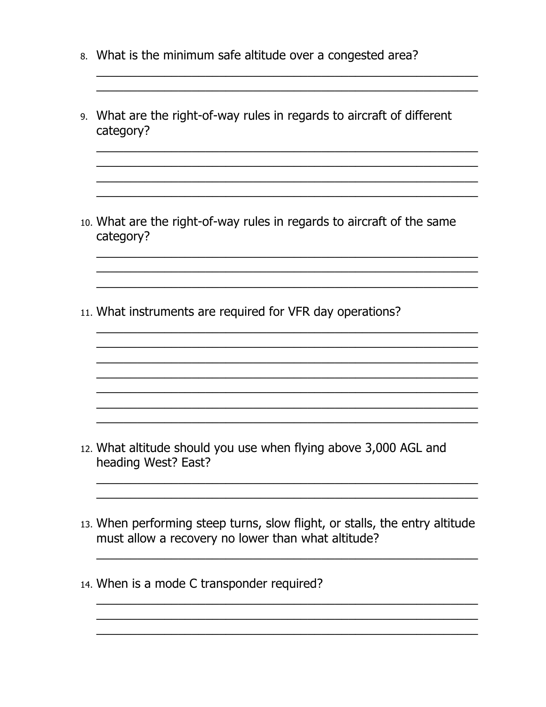- 8. What is the minimum safe altitude over a congested area?
- 9. What are the right-of-way rules in regards to aircraft of different category?

10. What are the right-of-way rules in regards to aircraft of the same category?

<u> 1999 - 1999 - 1999 - 1999 - 1999 - 1999 - 1999 - 1999 - 1999 - 1999 - 1999 - 1999 - 1999 - 1999 - 1999 - 199</u>

<u> 1989 - Johann Stoff, amerikansk politiker (d. 1989)</u>

11. What instruments are required for VFR day operations?

12. What altitude should you use when flying above 3,000 AGL and heading West? East?

- 13. When performing steep turns, slow flight, or stalls, the entry altitude must allow a recovery no lower than what altitude?
- 14. When is a mode C transponder required?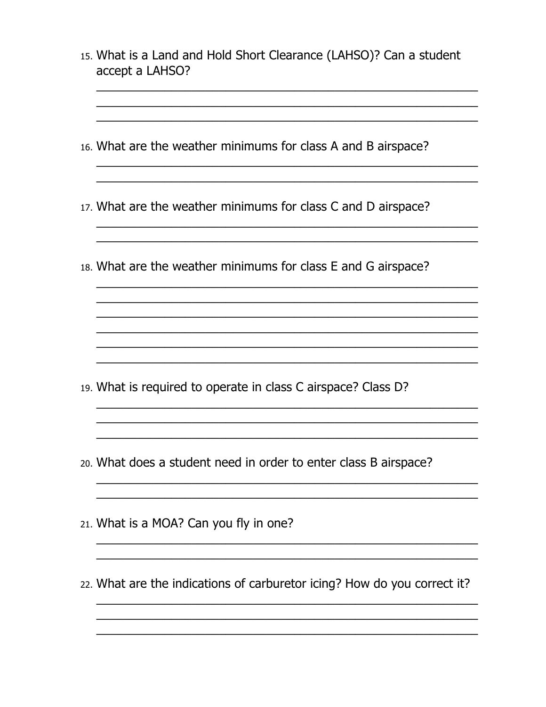15. What is a Land and Hold Short Clearance (LAHSO)? Can a student accept a LAHSO?

- 16. What are the weather minimums for class A and B airspace?
- 17. What are the weather minimums for class C and D airspace?
- 18. What are the weather minimums for class E and G airspace?

<u> 1980 - Jan James James Barnett, amerikan basar personal (h. 1980).</u>

<u> 1999 - Johann John Stoff, deutscher Stoffen und der Stoffen und der Stoffen und der Stoffen und der Stoffen u</u>

<u> 1989 - Johann Harry Barn, mars ar y brening ar y brening ar y brening ar y brening ar y brening ar y brening</u>

- 19. What is required to operate in class C airspace? Class D?
- 20. What does a student need in order to enter class B airspace?
- 21. What is a MOA? Can you fly in one?
- 22. What are the indications of carburetor icing? How do you correct it?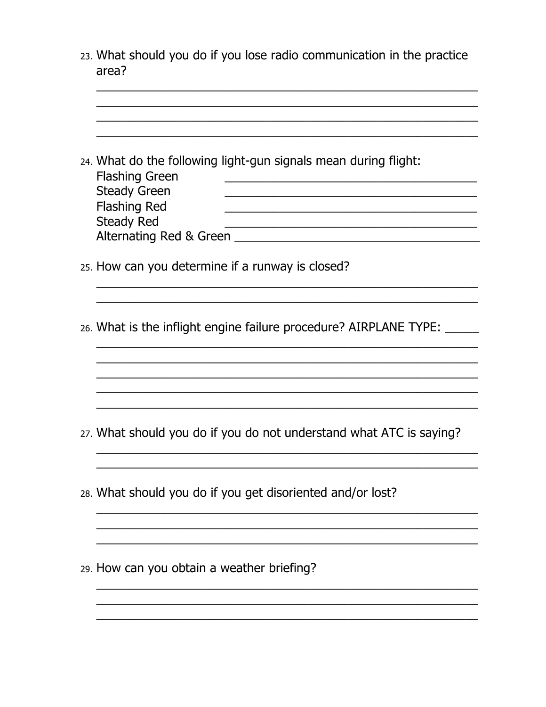23. What should you do if you lose radio communication in the practice area?

|  | 24. What do the following light-gun signals mean during flight:<br><b>Flashing Green</b> |  |  |  |
|--|------------------------------------------------------------------------------------------|--|--|--|
|  | <b>Steady Green</b><br><b>Flashing Red</b>                                               |  |  |  |
|  | <b>Steady Red</b>                                                                        |  |  |  |
|  |                                                                                          |  |  |  |
|  | 25. How can you determine if a runway is closed?                                         |  |  |  |
|  |                                                                                          |  |  |  |
|  | 26. What is the inflight engine failure procedure? AIRPLANE TYPE:                        |  |  |  |
|  |                                                                                          |  |  |  |
|  |                                                                                          |  |  |  |
|  |                                                                                          |  |  |  |
|  |                                                                                          |  |  |  |
|  | 27. What should you do if you do not understand what ATC is saying?                      |  |  |  |
|  |                                                                                          |  |  |  |
|  | 28. What should you do if you get disoriented and/or lost?                               |  |  |  |
|  |                                                                                          |  |  |  |
|  |                                                                                          |  |  |  |
|  | 29. How can you obtain a weather briefing?                                               |  |  |  |
|  |                                                                                          |  |  |  |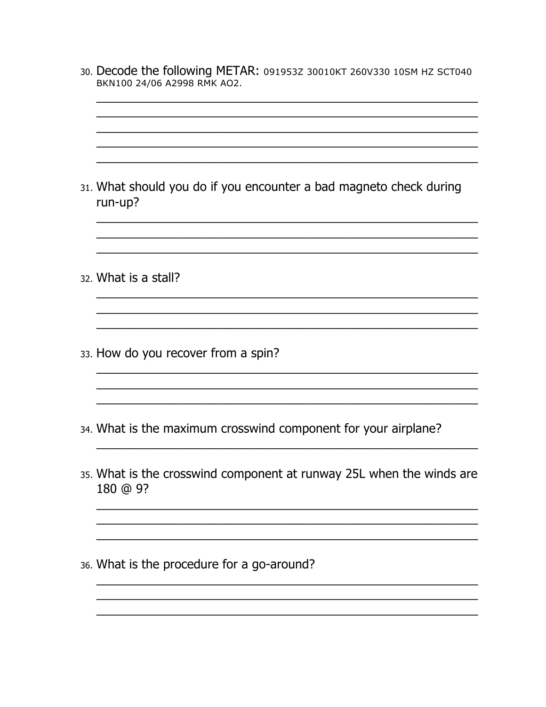- 30. Decode the following METAR: 091953Z 30010KT 260V330 10SM HZ SCT040 BKN100 24/06 A2998 RMK AO2.
- 31. What should you do if you encounter a bad magneto check during run-up? 32. What is a stall? 33. How do you recover from a spin? 34. What is the maximum crosswind component for your airplane? 35. What is the crosswind component at runway 25L when the winds are 180 @ 9? 36. What is the procedure for a go-around?